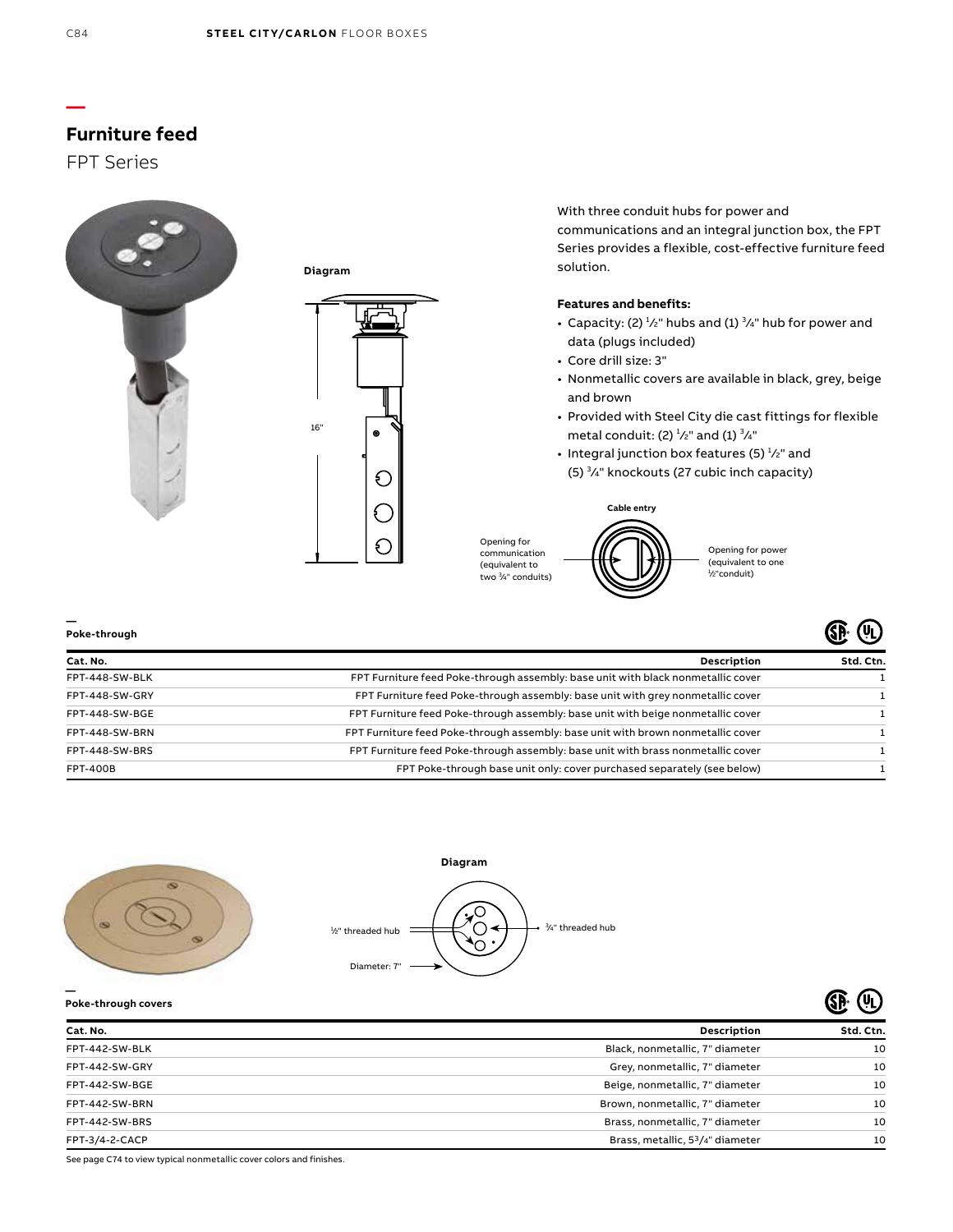# **Furniture feed**

## FPT Series





With three conduit hubs for power and communications and an integral junction box, the FPT Series provides a flexible, cost-effective furniture feed solution.

### **Features and benefits:**

- Capacity: (2)  $\frac{1}{2}$ " hubs and (1)  $\frac{3}{4}$ " hub for power and data (plugs included)
- Core drill size: 3"
- Nonmetallic covers are available in black, grey, beige and brown
- Provided with Steel City die cast fittings for flexible metal conduit: (2)  $\frac{1}{2}$ " and (1)  $\frac{3}{4}$ "
- Integral junction box features (5)  $\frac{1}{2}$ " and (5) <sup>3</sup>/<sub>4</sub>" knockouts (27 cubic inch capacity)



Opening for power (equivalent to one 1 ⁄2"conduit)

ை சி

ை சி

| Poke-through    | ØГ,<br>(YL)                                                                      |           |
|-----------------|----------------------------------------------------------------------------------|-----------|
| Cat. No.        | <b>Description</b>                                                               | Std. Ctn. |
| FPT-448-SW-BLK  | FPT Furniture feed Poke-through assembly: base unit with black nonmetallic cover |           |
| FPT-448-SW-GRY  | FPT Furniture feed Poke-through assembly: base unit with grey nonmetallic cover  |           |
| FPT-448-SW-BGE  | FPT Furniture feed Poke-through assembly: base unit with beige nonmetallic cover |           |
| FPT-448-SW-BRN  | FPT Furniture feed Poke-through assembly: base unit with brown nonmetallic cover |           |
| FPT-448-SW-BRS  | FPT Furniture feed Poke-through assembly: base unit with brass nonmetallic cover |           |
| <b>FPT-400B</b> | FPT Poke-through base unit only: cover purchased separately (see below)          |           |





**Poke-through covers**

**—**

|                |                                                           | c c       |
|----------------|-----------------------------------------------------------|-----------|
| Cat. No.       | Description                                               | Std. Ctn. |
| FPT-442-SW-BLK | Black, nonmetallic, 7" diameter                           | 10        |
| FPT-442-SW-GRY | Grey, nonmetallic, 7" diameter                            | 10        |
| FPT-442-SW-BGE | Beige, nonmetallic, 7" diameter                           | 10        |
| FPT-442-SW-BRN | Brown, nonmetallic, 7" diameter                           | 10        |
| FPT-442-SW-BRS | Brass, nonmetallic, 7" diameter                           | 10        |
| FPT-3/4-2-CACP | Brass, metallic, 5 <sup>3</sup> / <sub>4</sub> " diameter | 10        |
|                |                                                           |           |

See page C74 to view typical nonmetallic cover colors and finishes.

**—**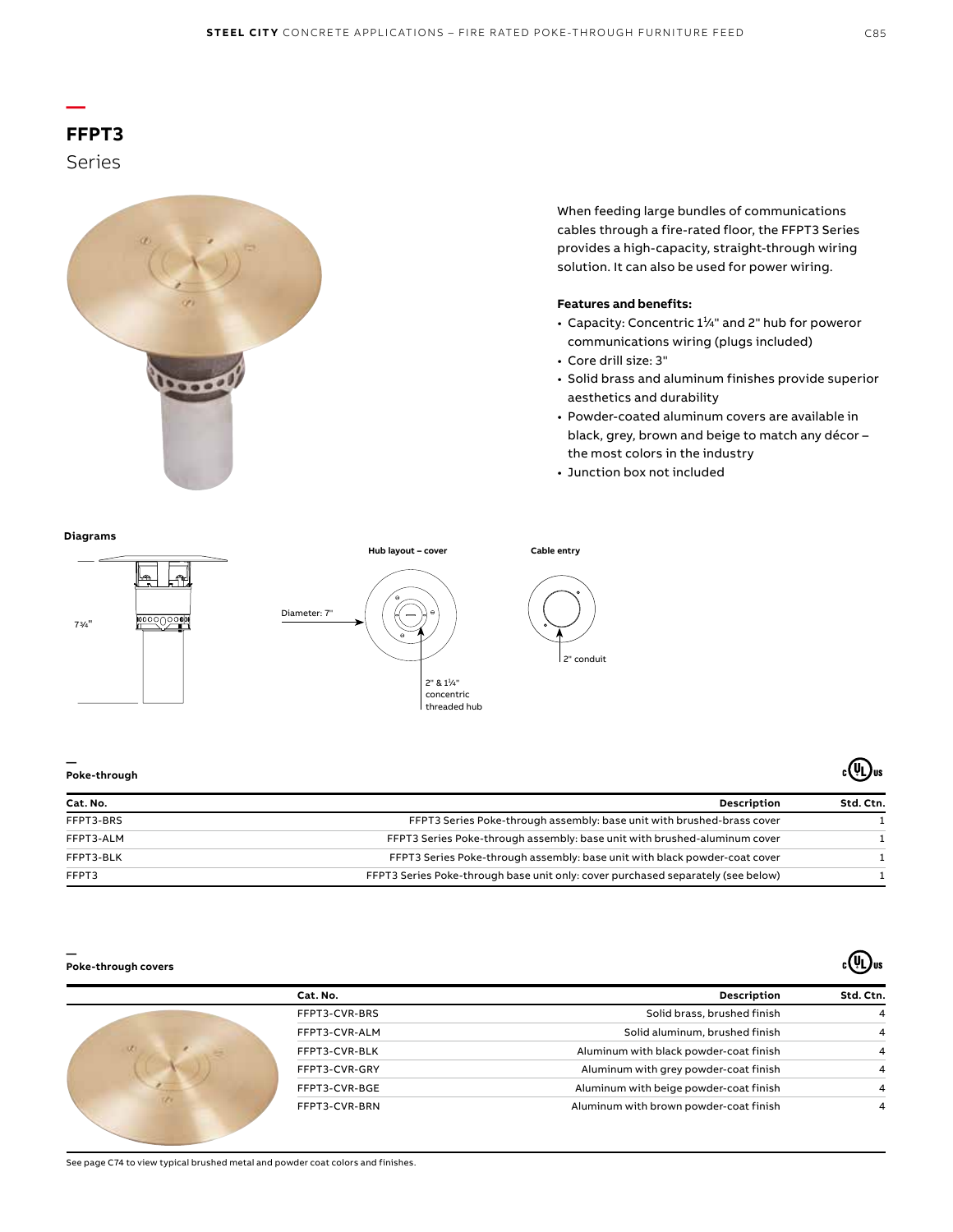# **FFPT3**

**—**

Series



When feeding large bundles of communications cables through a fire-rated floor, the FFPT3 Series provides a high-capacity, straight-through wiring solution. It can also be used for power wiring.

### **Features and benefits:**

- Capacity: Concentric  $1\frac{1}{4}$ " and 2" hub for poweror communications wiring (plugs included)
- Core drill size: 3"
- Solid brass and aluminum finishes provide superior aesthetics and durability
- Powder-coated aluminum covers are available in black, grey, brown and beige to match any décor – the most colors in the industry
- Junction box not included

## **Diagrams**







**Cable entry**

**—**

| Poke-through |                                                                                  | ष्ट्युण्ड |  |
|--------------|----------------------------------------------------------------------------------|-----------|--|
| Cat. No.     | <b>Description</b>                                                               | Std. Ctn. |  |
| FFPT3-BRS    | FFPT3 Series Poke-through assembly: base unit with brushed-brass cover           |           |  |
| FFPT3-ALM    | FFPT3 Series Poke-through assembly: base unit with brushed-aluminum cover        |           |  |
| FFPT3-BLK    | FFPT3 Series Poke-through assembly: base unit with black powder-coat cover       |           |  |
| FFPT3        | FFPT3 Series Poke-through base unit only: cover purchased separately (see below) |           |  |

#### **Poke-through covers**

**—**

| Std. Ctn. | <b>Description</b>                     | Cat. No.      |
|-----------|----------------------------------------|---------------|
| 4         | Solid brass, brushed finish            | FFPT3-CVR-BRS |
| 4         | Solid aluminum, brushed finish         | FFPT3-CVR-ALM |
| 4         | Aluminum with black powder-coat finish | FFPT3-CVR-BLK |
| Δ         | Aluminum with grey powder-coat finish  | FFPT3-CVR-GRY |
| 4         | Aluminum with beige powder-coat finish | FFPT3-CVR-BGE |
| 4         | Aluminum with brown powder-coat finish | FFPT3-CVR-BRN |

 $_{c}$ (Ur)<sub>us</sub>

 $_{c}(\Psi$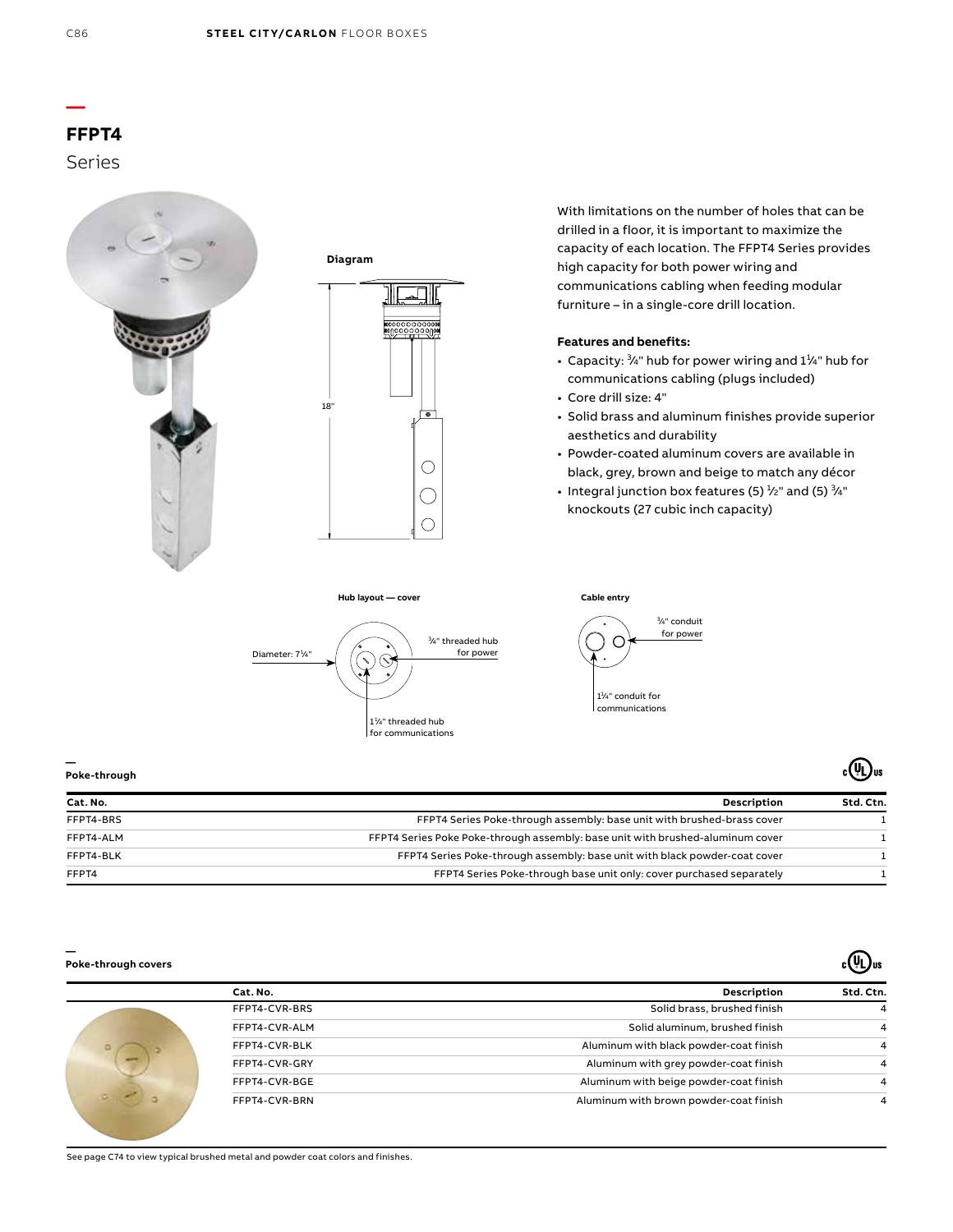## **— FFPT4**  Series





**Hub layout — cover**



With limitations on the number of holes that can be drilled in a floor, it is important to maximize the capacity of each location. The FFPT4 Series provides high capacity for both power wiring and communications cabling when feeding modular furniture – in a single-core drill location.

## **Features and benefits:**

- Capacity:  $\frac{3}{4}$ " hub for power wiring and  $1\frac{1}{4}$ " hub for communications cabling (plugs included)
- Core drill size: 4"

**Cable entry**

• Solid brass and aluminum finishes provide superior aesthetics and durability

 $_{c}$ (U<sub>L</sub>)<sub>us</sub>

 $\sqrt{u}$ 

- Powder-coated aluminum covers are available in black, grey, brown and beige to match any décor
- Integral junction box features (5)  $\frac{1}{2}$ " and (5)  $\frac{3}{4}$ " knockouts (27 cubic inch capacity)



**—**

| Poke-through |                                                                                | ະ∖ະບ‴     |  |
|--------------|--------------------------------------------------------------------------------|-----------|--|
| Cat. No.     | Description                                                                    | Std. Ctn. |  |
| FFPT4-BRS    | FFPT4 Series Poke-through assembly: base unit with brushed-brass cover         |           |  |
| FFPT4-ALM    | FFPT4 Series Poke Poke-through assembly: base unit with brushed-aluminum cover |           |  |
| FFPT4-BLK    | FFPT4 Series Poke-through assembly: base unit with black powder-coat cover     |           |  |
| FFPT4        | FFPT4 Series Poke-through base unit only: cover purchased separately           |           |  |

#### **— Poke-through covers**

| Std. Ctn. | Description                            | Cat. No.      |
|-----------|----------------------------------------|---------------|
| 4         | Solid brass, brushed finish            | FFPT4-CVR-BRS |
| 4         | Solid aluminum, brushed finish         | FFPT4-CVR-ALM |
| 4         | Aluminum with black powder-coat finish | FFPT4-CVR-BLK |
| 4         | Aluminum with grey powder-coat finish  | FFPT4-CVR-GRY |
| 4         | Aluminum with beige powder-coat finish | FFPT4-CVR-BGE |
| 4         | Aluminum with brown powder-coat finish | FFPT4-CVR-BRN |

See page C74 to view typical brushed metal and powder coat colors and finishes.